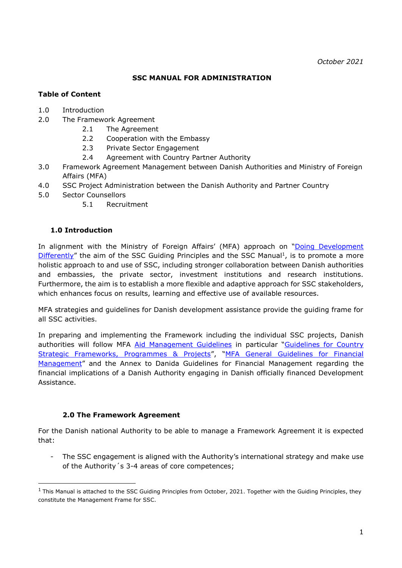#### **SSC MANUAL FOR ADMINISTRATION**

## **Table of Content**

- 1.0 Introduction
- 2.0 The Framework Agreement
	- 2.1 The Agreement
	- 2.2 Cooperation with the Embassy
	- 2.3 Private Sector Engagement
	- 2.4 Agreement with Country Partner Authority
- 3.0 Framework Agreement Management between Danish Authorities and Ministry of Foreign Affairs (MFA)
- 4.0 SSC Project Administration between the Danish Authority and Partner Country
- 5.0 Sector Counsellors
	- 5.1 Recruitment

#### **1.0 Introduction**

-

In alignment with the Ministry of Foreign Affairs' (MFA) approach on "Doing Development  $Differently''$  $Differently''$  the aim of the SSC Guiding Principles and the SSC Manual<sup>1</sup>, is to promote a more holistic approach to and use of SSC, including stronger collaboration between Danish authorities and embassies, the private sector, investment institutions and research institutions. Furthermore, the aim is to establish a more flexible and adaptive approach for SSC stakeholders, which enhances focus on results, learning and effective use of available resources.

MFA strategies and guidelines for Danish development assistance provide the guiding frame for all SSC activities.

In preparing and implementing the Framework including the individual SSC projects, Danish authorities will follow MFA [Aid Management Guidelines](https://amg.um.dk/en/) in particular "Guidelines for Country [Strategic Frameworks, Programmes & Projects](https://amg.um.dk/en/programmes-and-projects/guidelines-for-country-strategic-frameworks-programmes-and-projects/)", "MFA [General Guidelines for Financial](https://amg.um.dk/en/programmes-and-projects/financial-management/)  [Management](https://amg.um.dk/en/programmes-and-projects/financial-management/)" and the Annex to Danida Guidelines for Financial Management regarding the financial implications of a Danish Authority engaging in Danish officially financed Development Assistance.

#### **2.0 The Framework Agreement**

For the Danish national Authority to be able to manage a Framework Agreement it is expected that:

- The SSC engagement is aligned with the Authority's international strategy and make use of the Authority´s 3-4 areas of core competences;

 $1$  This Manual is attached to the SSC Guiding Principles from October, 2021. Together with the Guiding Principles, they constitute the Management Frame for SSC.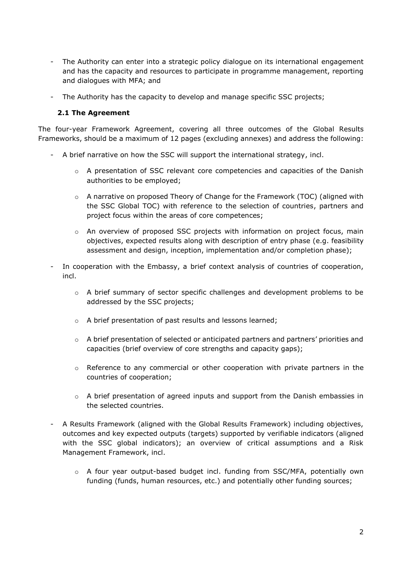- The Authority can enter into a strategic policy dialogue on its international engagement and has the capacity and resources to participate in programme management, reporting and dialogues with MFA; and
- The Authority has the capacity to develop and manage specific SSC projects;

#### **2.1 The Agreement**

The four-year Framework Agreement, covering all three outcomes of the Global Results Frameworks, should be a maximum of 12 pages (excluding annexes) and address the following:

- A brief narrative on how the SSC will support the international strategy, incl.
	- $\circ$  A presentation of SSC relevant core competencies and capacities of the Danish authorities to be employed;
	- $\circ$  A narrative on proposed Theory of Change for the Framework (TOC) (aligned with the SSC Global TOC) with reference to the selection of countries, partners and project focus within the areas of core competences;
	- o An overview of proposed SSC projects with information on project focus, main objectives, expected results along with description of entry phase (e.g. feasibility assessment and design, inception, implementation and/or completion phase);
- In cooperation with the Embassy, a brief context analysis of countries of cooperation, incl.
	- $\circ$  A brief summary of sector specific challenges and development problems to be addressed by the SSC projects;
	- o A brief presentation of past results and lessons learned;
	- $\circ$  A brief presentation of selected or anticipated partners and partners' priorities and capacities (brief overview of core strengths and capacity gaps);
	- $\circ$  Reference to any commercial or other cooperation with private partners in the countries of cooperation;
	- $\circ$  A brief presentation of agreed inputs and support from the Danish embassies in the selected countries.
- A Results Framework (aligned with the Global Results Framework) including objectives, outcomes and key expected outputs (targets) supported by verifiable indicators (aligned with the SSC global indicators); an overview of critical assumptions and a Risk Management Framework, incl.
	- $\circ$  A four year output-based budget incl. funding from SSC/MFA, potentially own funding (funds, human resources, etc.) and potentially other funding sources;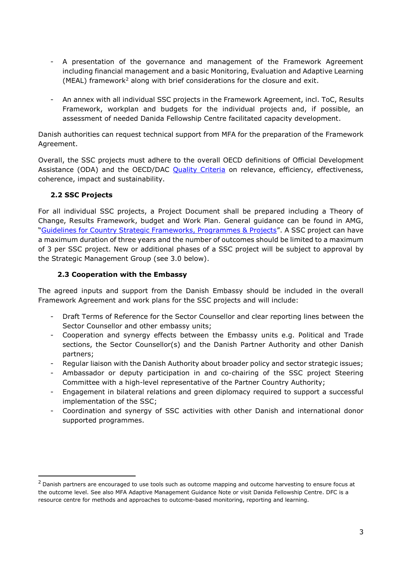- A presentation of the governance and management of the Framework Agreement including financial management and a basic Monitoring, Evaluation and Adaptive Learning (MEAL) framework<sup>2</sup> along with brief considerations for the closure and exit.
- An annex with all individual SSC projects in the Framework Agreement, incl. ToC, Results Framework, workplan and budgets for the individual projects and, if possible, an assessment of needed Danida Fellowship Centre facilitated capacity development.

Danish authorities can request technical support from MFA for the preparation of the Framework Agreement.

Overall, the SSC projects must adhere to the overall OECD definitions of Official Development Assistance (ODA) and the OECD/DAC [Quality Criteria](https://www.oecd.org/dac/evaluation/daccriteriaforevaluatingdevelopmentassistance.htm) on relevance, efficiency, effectiveness, coherence, impact and sustainability.

# **2.2 SSC Projects**

-

For all individual SSC projects, a Project Document shall be prepared including a Theory of Change, Results Framework, budget and Work Plan. General guidance can be found in AMG, "[Guidelines for Country Strategic Frameworks, Programmes & Projects](https://amg.um.dk/en/programmes-and-projects/guidelines-for-country-strategic-frameworks-programmes-and-projects/)". A SSC project can have a maximum duration of three years and the number of outcomes should be limited to a maximum of 3 per SSC project. New or additional phases of a SSC project will be subject to approval by the Strategic Management Group (see 3.0 below).

## **2.3 Cooperation with the Embassy**

The agreed inputs and support from the Danish Embassy should be included in the overall Framework Agreement and work plans for the SSC projects and will include:

- Draft Terms of Reference for the Sector Counsellor and clear reporting lines between the Sector Counsellor and other embassy units;
- Cooperation and synergy effects between the Embassy units e.g. Political and Trade sections, the Sector Counsellor(s) and the Danish Partner Authority and other Danish partners;
- Regular liaison with the Danish Authority about broader policy and sector strategic issues;
- Ambassador or deputy participation in and co-chairing of the SSC project Steering Committee with a high-level representative of the Partner Country Authority;
- Engagement in bilateral relations and green diplomacy required to support a successful implementation of the SSC;
- Coordination and synergy of SSC activities with other Danish and international donor supported programmes.

 $<sup>2</sup>$  Danish partners are encouraged to use tools such as outcome mapping and outcome harvesting to ensure focus at</sup> the outcome level. See also MFA [Adaptive Management Guidance Note](https://amg.um.dk/en/tools/guidance-note-for-adaptive-management/) or visit [Danida Fellowship Centre.](https://dfcentre.com/) DFC is a resource centre for methods and approaches to outcome-based monitoring, reporting and learning.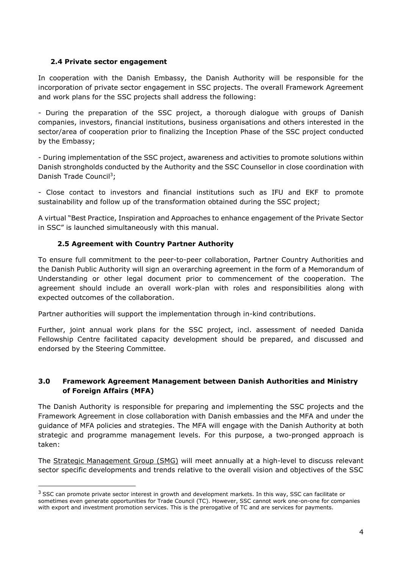## **2.4 Private sector engagement**

-

In cooperation with the Danish Embassy, the Danish Authority will be responsible for the incorporation of private sector engagement in SSC projects. The overall Framework Agreement and work plans for the SSC projects shall address the following:

- During the preparation of the SSC project, a thorough dialogue with groups of Danish companies, investors, financial institutions, business organisations and others interested in the sector/area of cooperation prior to finalizing the Inception Phase of the SSC project conducted by the Embassy;

- During implementation of the SSC project, awareness and activities to promote solutions within Danish strongholds conducted by the Authority and the SSC Counsellor in close coordination with Danish Trade Council<sup>3</sup>;

- Close contact to investors and financial institutions such as IFU and EKF to promote sustainability and follow up of the transformation obtained during the SSC project;

A virtual "Best Practice, Inspiration and Approaches to enhance engagement of the Private Sector in SSC" is launched simultaneously with this manual.

# **2.5 Agreement with Country Partner Authority**

To ensure full commitment to the peer-to-peer collaboration, Partner Country Authorities and the Danish Public Authority will sign an overarching agreement in the form of a Memorandum of Understanding or other legal document prior to commencement of the cooperation. The agreement should include an overall work-plan with roles and responsibilities along with expected outcomes of the collaboration.

Partner authorities will support the implementation through in-kind contributions.

Further, joint annual work plans for the SSC project, incl. assessment of needed Danida Fellowship Centre facilitated capacity development should be prepared, and discussed and endorsed by the Steering Committee.

# **3.0 Framework Agreement Management between Danish Authorities and Ministry of Foreign Affairs (MFA)**

The Danish Authority is responsible for preparing and implementing the SSC projects and the Framework Agreement in close collaboration with Danish embassies and the MFA and under the guidance of MFA policies and strategies. The MFA will engage with the Danish Authority at both strategic and programme management levels. For this purpose, a two-pronged approach is taken:

The Strategic Management Group (SMG) will meet annually at a high-level to discuss relevant sector specific developments and trends relative to the overall vision and objectives of the SSC

<sup>&</sup>lt;sup>3</sup> SSC can promote private sector interest in growth and development markets. In this way, SSC can facilitate or sometimes even generate opportunities for Trade Council (TC). However, SSC cannot work one-on-one for companies with export and investment promotion services. This is the prerogative of TC and are services for payments.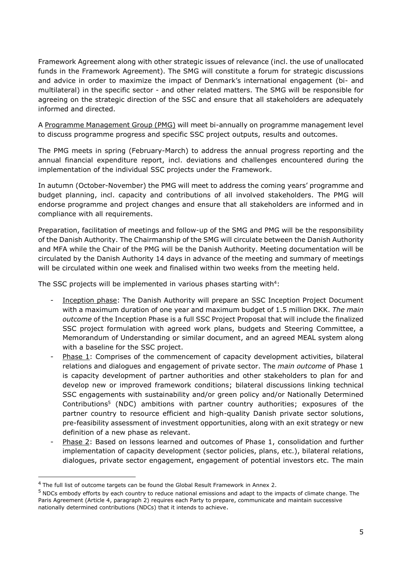Framework Agreement along with other strategic issues of relevance (incl. the use of unallocated funds in the Framework Agreement). The SMG will constitute a forum for strategic discussions and advice in order to maximize the impact of Denmark's international engagement (bi- and multilateral) in the specific sector - and other related matters. The SMG will be responsible for agreeing on the strategic direction of the SSC and ensure that all stakeholders are adequately informed and directed.

A Programme Management Group (PMG) will meet bi-annually on programme management level to discuss programme progress and specific SSC project outputs, results and outcomes.

The PMG meets in spring (February-March) to address the annual progress reporting and the annual financial expenditure report, incl. deviations and challenges encountered during the implementation of the individual SSC projects under the Framework.

In autumn (October-November) the PMG will meet to address the coming years' programme and budget planning, incl. capacity and contributions of all involved stakeholders. The PMG will endorse programme and project changes and ensure that all stakeholders are informed and in compliance with all requirements.

Preparation, facilitation of meetings and follow-up of the SMG and PMG will be the responsibility of the Danish Authority. The Chairmanship of the SMG will circulate between the Danish Authority and MFA while the Chair of the PMG will be the Danish Authority. Meeting documentation will be circulated by the Danish Authority 14 days in advance of the meeting and summary of meetings will be circulated within one week and finalised within two weeks from the meeting held.

The SSC projects will be implemented in various phases starting with $4$ :

- Inception phase: The Danish Authority will prepare an SSC Inception Project Document with a maximum duration of one year and maximum budget of 1.5 million DKK. *The main outcome* of the Inception Phase is a full SSC Project Proposal that will include the finalized SSC project formulation with agreed work plans, budgets and Steering Committee, a Memorandum of Understanding or similar document, and an agreed MEAL system along with a baseline for the SSC project.
- Phase 1: Comprises of the commencement of capacity development activities, bilateral relations and dialogues and engagement of private sector. The *main outcome* of Phase 1 is capacity development of partner authorities and other stakeholders to plan for and develop new or improved framework conditions; bilateral discussions linking technical SSC engagements with sustainability and/or green policy and/or Nationally Determined Contributions<sup>5</sup> (NDC) ambitions with partner country authorities; exposures of the partner country to resource efficient and high-quality Danish private sector solutions, pre-feasibility assessment of investment opportunities, along with an exit strategy or new definition of a new phase as relevant.
- Phase 2: Based on lessons learned and outcomes of Phase 1, consolidation and further implementation of capacity development (sector policies, plans, etc.), bilateral relations, dialogues, private sector engagement, engagement of potential investors etc. The main

-

<sup>4</sup> The full list of outcome targets can be found the Global Result Framework in Annex 2.

<sup>5</sup> NDCs embody efforts by each country to reduce national emissions and adapt to the impacts of climate change. The Paris Agreement (Article 4, paragraph 2) requires each Party to prepare, communicate and maintain successive nationally determined contributions (NDCs) that it intends to achieve.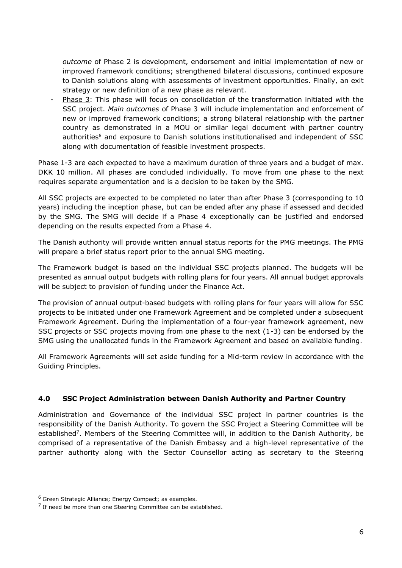*outcome* of Phase 2 is development, endorsement and initial implementation of new or improved framework conditions; strengthened bilateral discussions, continued exposure to Danish solutions along with assessments of investment opportunities. Finally, an exit strategy or new definition of a new phase as relevant.

Phase 3: This phase will focus on consolidation of the transformation initiated with the SSC project. *Main outcomes* of Phase 3 will include implementation and enforcement of new or improved framework conditions; a strong bilateral relationship with the partner country as demonstrated in a MOU or similar legal document with partner country authorities<sup>6</sup> and exposure to Danish solutions institutionalised and independent of SSC along with documentation of feasible investment prospects.

Phase 1-3 are each expected to have a maximum duration of three years and a budget of max. DKK 10 million. All phases are concluded individually. To move from one phase to the next requires separate argumentation and is a decision to be taken by the SMG.

All SSC projects are expected to be completed no later than after Phase 3 (corresponding to 10 years) including the inception phase, but can be ended after any phase if assessed and decided by the SMG. The SMG will decide if a Phase 4 exceptionally can be justified and endorsed depending on the results expected from a Phase 4.

The Danish authority will provide written annual status reports for the PMG meetings. The PMG will prepare a brief status report prior to the annual SMG meeting.

The Framework budget is based on the individual SSC projects planned. The budgets will be presented as annual output budgets with rolling plans for four years. All annual budget approvals will be subject to provision of funding under the Finance Act.

The provision of annual output-based budgets with rolling plans for four years will allow for SSC projects to be initiated under one Framework Agreement and be completed under a subsequent Framework Agreement. During the implementation of a four-year framework agreement, new SSC projects or SSC projects moving from one phase to the next (1-3) can be endorsed by the SMG using the unallocated funds in the Framework Agreement and based on available funding.

All Framework Agreements will set aside funding for a Mid-term review in accordance with the Guiding Principles.

# **4.0 SSC Project Administration between Danish Authority and Partner Country**

Administration and Governance of the individual SSC project in partner countries is the responsibility of the Danish Authority. To govern the SSC Project a Steering Committee will be established<sup>7</sup>. Members of the Steering Committee will, in addition to the Danish Authority, be comprised of a representative of the Danish Embassy and a high-level representative of the partner authority along with the Sector Counsellor acting as secretary to the Steering

-

 $6$  Green Strategic Alliance; Energy Compact; as examples.

 $<sup>7</sup>$  If need be more than one Steering Committee can be established.</sup>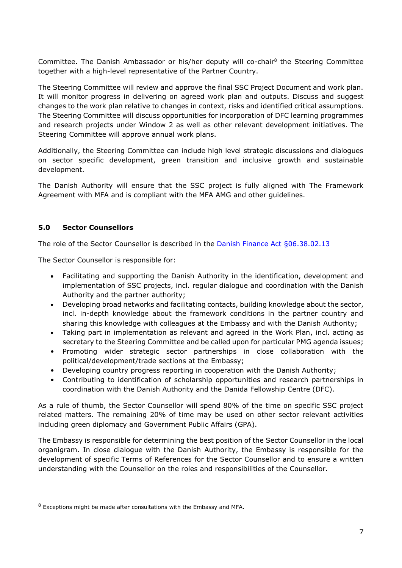Committee. The Danish Ambassador or his/her deputy will co-chair<sup>8</sup> the Steering Committee together with a high-level representative of the Partner Country.

The Steering Committee will review and approve the final SSC Project Document and work plan. It will monitor progress in delivering on agreed work plan and outputs. Discuss and suggest changes to the work plan relative to changes in context, risks and identified critical assumptions. The Steering Committee will discuss opportunities for incorporation of DFC learning programmes and research projects under Window 2 as well as other relevant development initiatives. The Steering Committee will approve annual work plans.

Additionally, the Steering Committee can include high level strategic discussions and dialogues on sector specific development, green transition and inclusive growth and sustainable development.

The Danish Authority will ensure that the SSC project is fully aligned with The Framework Agreement with MFA and is compliant with the MFA AMG and other guidelines.

# **5.0 Sector Counsellors**

-

The role of the Sector Counsellor is described in the [Danish Finance Act §06.38.02.13](https://fm.dk/media/18455/fl21a.pdf)

The Sector Counsellor is responsible for:

- Facilitating and supporting the Danish Authority in the identification, development and implementation of SSC projects, incl. regular dialogue and coordination with the Danish Authority and the partner authority;
- Developing broad networks and facilitating contacts, building knowledge about the sector, incl. in-depth knowledge about the framework conditions in the partner country and sharing this knowledge with colleagues at the Embassy and with the Danish Authority;
- Taking part in implementation as relevant and agreed in the Work Plan, incl. acting as secretary to the Steering Committee and be called upon for particular PMG agenda issues;
- Promoting wider strategic sector partnerships in close collaboration with the political/development/trade sections at the Embassy;
- Developing country progress reporting in cooperation with the Danish Authority;
- Contributing to identification of scholarship opportunities and research partnerships in coordination with the Danish Authority and the Danida Fellowship Centre (DFC).

As a rule of thumb, the Sector Counsellor will spend 80% of the time on specific SSC project related matters. The remaining 20% of time may be used on other sector relevant activities including green diplomacy and Government Public Affairs (GPA).

The Embassy is responsible for determining the best position of the Sector Counsellor in the local organigram. In close dialogue with the Danish Authority, the Embassy is responsible for the development of specific Terms of References for the Sector Counsellor and to ensure a written understanding with the Counsellor on the roles and responsibilities of the Counsellor.

<sup>8</sup> Exceptions might be made after consultations with the Embassy and MFA.